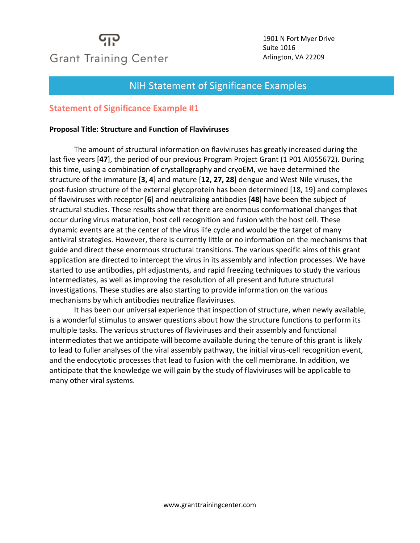

1901 N Fort Myer Drive Suite 1016 Arlington, VA 22209

#### Meet the Instructo NIH Statement of Significance Examples

#### **Statement of Significance Example #1**

#### **Proposal Title: Structure and Function of Flaviviruses**

The amount of structural information on flaviviruses has greatly increased during the last five years [**47**], the period of our previous Program Project Grant (1 P01 AI055672). During this time, using a combination of crystallography and cryoEM, we have determined the structure of the immature [**3, 4**] and mature [**12, 27, 28**] dengue and West Nile viruses, the post-fusion structure of the external glycoprotein has been determined [18, 19] and complexes of flaviviruses with receptor [**6**] and neutralizing antibodies [**48**] have been the subject of structural studies. These results show that there are enormous conformational changes that occur during virus maturation, host cell recognition and fusion with the host cell. These dynamic events are at the center of the virus life cycle and would be the target of many antiviral strategies. However, there is currently little or no information on the mechanisms that guide and direct these enormous structural transitions. The various specific aims of this grant application are directed to intercept the virus in its assembly and infection processes. We have started to use antibodies, pH adjustments, and rapid freezing techniques to study the various intermediates, as well as improving the resolution of all present and future structural investigations. These studies are also starting to provide information on the various mechanisms by which antibodies neutralize flaviviruses.

It has been our universal experience that inspection of structure, when newly available, is a wonderful stimulus to answer questions about how the structure functions to perform its multiple tasks. The various structures of flaviviruses and their assembly and functional intermediates that we anticipate will become available during the tenure of this grant is likely to lead to fuller analyses of the viral assembly pathway, the initial virus-cell recognition event, and the endocytotic processes that lead to fusion with the cell membrane. In addition, we anticipate that the knowledge we will gain by the study of flaviviruses will be applicable to many other viral systems.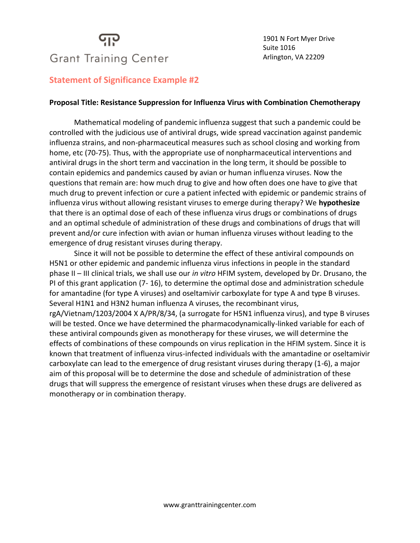### יוי **Grant Training Center**

#### **Statement of Significance Example #2**

#### **Proposal Title: Resistance Suppression for Influenza Virus with Combination Chemotherapy**

Mathematical modeling of pandemic influenza suggest that such a pandemic could be controlled with the judicious use of antiviral drugs, wide spread vaccination against pandemic influenza strains, and non-pharmaceutical measures such as school closing and working from home, etc (70-75). Thus, with the appropriate use of nonpharmaceutical interventions and antiviral drugs in the short term and vaccination in the long term, it should be possible to contain epidemics and pandemics caused by avian or human influenza viruses. Now the questions that remain are: how much drug to give and how often does one have to give that much drug to prevent infection or cure a patient infected with epidemic or pandemic strains of influenza virus without allowing resistant viruses to emerge during therapy? We **hypothesize**  that there is an optimal dose of each of these influenza virus drugs or combinations of drugs and an optimal schedule of administration of these drugs and combinations of drugs that will prevent and/or cure infection with avian or human influenza viruses without leading to the emergence of drug resistant viruses during therapy.

Since it will not be possible to determine the effect of these antiviral compounds on H5N1 or other epidemic and pandemic influenza virus infections in people in the standard phase II – III clinical trials, we shall use our *in vitro* HFIM system, developed by Dr. Drusano, the PI of this grant application (7- 16), to determine the optimal dose and administration schedule for amantadine (for type A viruses) and oseltamivir carboxylate for type A and type B viruses. Several H1N1 and H3N2 human influenza A viruses, the recombinant virus, rgA/Vietnam/1203/2004 X A/PR/8/34, (a surrogate for H5N1 influenza virus), and type B viruses will be tested. Once we have determined the pharmacodynamically-linked variable for each of these antiviral compounds given as monotherapy for these viruses, we will determine the effects of combinations of these compounds on virus replication in the HFIM system. Since it is known that treatment of influenza virus-infected individuals with the amantadine or oseltamivir carboxylate can lead to the emergence of drug resistant viruses during therapy (1-6), a major aim of this proposal will be to determine the dose and schedule of administration of these drugs that will suppress the emergence of resistant viruses when these drugs are delivered as monotherapy or in combination therapy.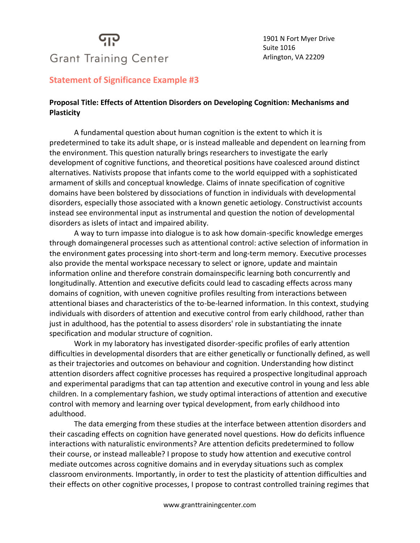# **Grant Training Center**

1901 N Fort Myer Drive Suite 1016 Arlington, VA 22209

#### **Statement of Significance Example #3**

#### **Proposal Title: Effects of Attention Disorders on Developing Cognition: Mechanisms and Plasticity**

A fundamental question about human cognition is the extent to which it is predetermined to take its adult shape, or is instead malleable and dependent on learning from the environment. This question naturally brings researchers to investigate the early development of cognitive functions, and theoretical positions have coalesced around distinct alternatives. Nativists propose that infants come to the world equipped with a sophisticated armament of skills and conceptual knowledge. Claims of innate specification of cognitive domains have been bolstered by dissociations of function in individuals with developmental disorders, especially those associated with a known genetic aetiology. Constructivist accounts instead see environmental input as instrumental and question the notion of developmental disorders as islets of intact and impaired ability.

A way to turn impasse into dialogue is to ask how domain-specific knowledge emerges through domaingeneral processes such as attentional control: active selection of information in the environment gates processing into short-term and long-term memory. Executive processes also provide the mental workspace necessary to select or ignore, update and maintain information online and therefore constrain domainspecific learning both concurrently and longitudinally. Attention and executive deficits could lead to cascading effects across many domains of cognition, with uneven cognitive profiles resulting from interactions between attentional biases and characteristics of the to-be-learned information. In this context, studying individuals with disorders of attention and executive control from early childhood, rather than just in adulthood, has the potential to assess disorders' role in substantiating the innate specification and modular structure of cognition.

Work in my laboratory has investigated disorder-specific profiles of early attention difficulties in developmental disorders that are either genetically or functionally defined, as well as their trajectories and outcomes on behaviour and cognition. Understanding how distinct attention disorders affect cognitive processes has required a prospective longitudinal approach and experimental paradigms that can tap attention and executive control in young and less able children. In a complementary fashion, we study optimal interactions of attention and executive control with memory and learning over typical development, from early childhood into adulthood.

The data emerging from these studies at the interface between attention disorders and their cascading effects on cognition have generated novel questions. How do deficits influence interactions with naturalistic environments? Are attention deficits predetermined to follow their course, or instead malleable? I propose to study how attention and executive control mediate outcomes across cognitive domains and in everyday situations such as complex classroom environments. Importantly, in order to test the plasticity of attention difficulties and their effects on other cognitive processes, I propose to contrast controlled training regimes that